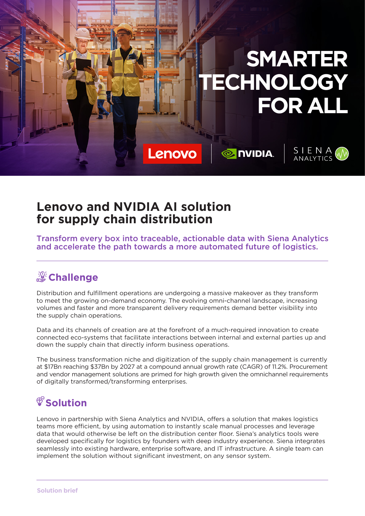

## **Lenovo and NVIDIA AI solution for supply chain distribution**

Transform every box into traceable, actionable data with Siena Analytics and accelerate the path towards a more automated future of logistics.

# *S* Challenge

Distribution and fulfillment operations are undergoing a massive makeover as they transform to meet the growing on-demand economy. The evolving omni-channel landscape, increasing volumes and faster and more transparent delivery requirements demand better visibility into the supply chain operations.

Data and its channels of creation are at the forefront of a much-required innovation to create connected eco-systems that facilitate interactions between internal and external parties up and down the supply chain that directly inform business operations.

The business transformation niche and digitization of the supply chain management is currently at \$17Bn reaching \$37Bn by 2027 at a compound annual growth rate (CAGR) of 11.2%. Procurement and vendor management solutions are primed for high growth given the omnichannel requirements of digitally transformed/transforming enterprises.

# *<u>Solution</u>*

Lenovo in partnership with Siena Analytics and NVIDIA, offers a solution that makes logistics teams more efficient, by using automation to instantly scale manual processes and leverage data that would otherwise be left on the distribution center floor. Siena's analytics tools were developed specifically for logistics by founders with deep industry experience. Siena integrates seamlessly into existing hardware, enterprise software, and IT infrastructure. A single team can implement the solution without significant investment, on any sensor system.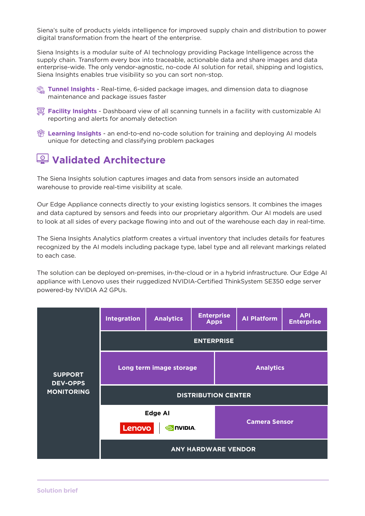Siena's suite of products yields intelligence for improved supply chain and distribution to power digital transformation from the heart of the enterprise.

Siena Insights is a modular suite of AI technology providing Package Intelligence across the supply chain. Transform every box into traceable, actionable data and share images and data enterprise-wide. The only vendor-agnostic, no-code AI solution for retail, shipping and logistics, Siena Insights enables true visibility so you can sort non-stop.

- *<u>A</u>* Tunnel Insights Real-time, 6-sided package images, and dimension data to diagnose maintenance and package issues faster
- **Facility Insights** Dashboard view of all scanning tunnels in a facility with customizable AI reporting and alerts for anomaly detection
- **<sup>2</sup> Learning Insights** an end-to-end no-code solution for training and deploying AI models unique for detecting and classifying problem packages

### **Validated Architecture**

The Siena Insights solution captures images and data from sensors inside an automated warehouse to provide real-time visibility at scale.

Our Edge Appliance connects directly to your existing logistics sensors. It combines the images and data captured by sensors and feeds into our proprietary algorithm. Our AI models are used to look at all sides of every package flowing into and out of the warehouse each day in real-time.

The Siena Insights Analytics platform creates a virtual inventory that includes details for features recognized by the AI models including package type, label type and all relevant markings related to each case.

The solution can be deployed on-premises, in-the-cloud or in a hybrid infrastructure. Our Edge AI appliance with Lenovo uses their ruggedized NVIDIA-Certified ThinkSystem SE350 edge server powered-by NVIDIA A2 GPUs.